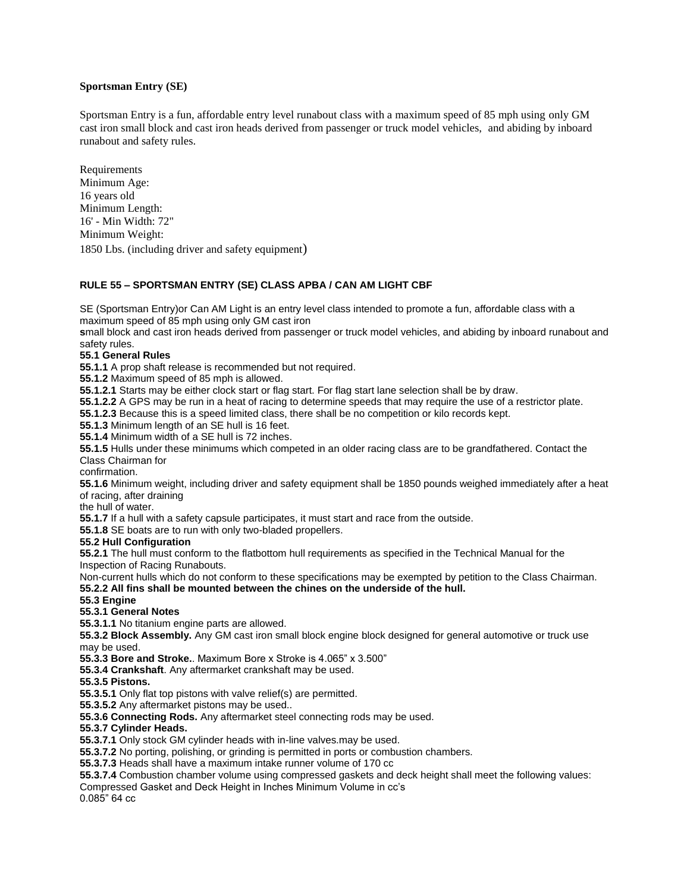# **Sportsman Entry (SE)**

Sportsman Entry is a fun, affordable entry level runabout class with a maximum speed of 85 mph using only GM cast iron small block and cast iron heads derived from passenger or truck model vehicles, and abiding by inboard runabout and safety rules.

**Requirements** Minimum Age: 16 years old Minimum Length: 16' - Min Width: 72" Minimum Weight:

1850 Lbs. (including driver and safety equipment)

# **RULE 55 – SPORTSMAN ENTRY (SE) CLASS APBA / CAN AM LIGHT CBF**

SE (Sportsman Entry)or Can AM Light is an entry level class intended to promote a fun, affordable class with a maximum speed of 85 mph using only GM cast iron

**s**mall block and cast iron heads derived from passenger or truck model vehicles, and abiding by inboard runabout and safety rules.

# **55.1 General Rules**

**55.1.1** A prop shaft release is recommended but not required.

**55.1.2** Maximum speed of 85 mph is allowed.

**55.1.2.1** Starts may be either clock start or flag start. For flag start lane selection shall be by draw.

**55.1.2.2** A GPS may be run in a heat of racing to determine speeds that may require the use of a restrictor plate.

**55.1.2.3** Because this is a speed limited class, there shall be no competition or kilo records kept.

**55.1.3** Minimum length of an SE hull is 16 feet.

**55.1.4** Minimum width of a SE hull is 72 inches.

**55.1.5** Hulls under these minimums which competed in an older racing class are to be grandfathered. Contact the Class Chairman for

confirmation.

**55.1.6** Minimum weight, including driver and safety equipment shall be 1850 pounds weighed immediately after a heat of racing, after draining

the hull of water.

**55.1.7** If a hull with a safety capsule participates, it must start and race from the outside.

**55.1.8** SE boats are to run with only two-bladed propellers.

## **55.2 Hull Configuration**

**55.2.1** The hull must conform to the flatbottom hull requirements as specified in the Technical Manual for the Inspection of Racing Runabouts.

Non-current hulls which do not conform to these specifications may be exempted by petition to the Class Chairman. **55.2.2 All fins shall be mounted between the chines on the underside of the hull.**

# **55.3 Engine**

# **55.3.1 General Notes**

**55.3.1.1** No titanium engine parts are allowed.

**55.3.2 Block Assembly.** Any GM cast iron small block engine block designed for general automotive or truck use may be used.

**55.3.3 Bore and Stroke.**. Maximum Bore x Stroke is 4.065" x 3.500"

**55.3.4 Crankshaft**. Any aftermarket crankshaft may be used.

## **55.3.5 Pistons.**

**55.3.5.1** Only flat top pistons with valve relief(s) are permitted.

**55.3.5.2** Any aftermarket pistons may be used..

**55.3.6 Connecting Rods.** Any aftermarket steel connecting rods may be used.

## **55.3.7 Cylinder Heads.**

**55.3.7.1** Only stock GM cylinder heads with in-line valves.may be used.

**55.3.7.2** No porting, polishing, or grinding is permitted in ports or combustion chambers.

**55.3.7.3** Heads shall have a maximum intake runner volume of 170 cc

**55.3.7.4** Combustion chamber volume using compressed gaskets and deck height shall meet the following values:

Compressed Gasket and Deck Height in Inches Minimum Volume in cc's

0.085" 64 cc